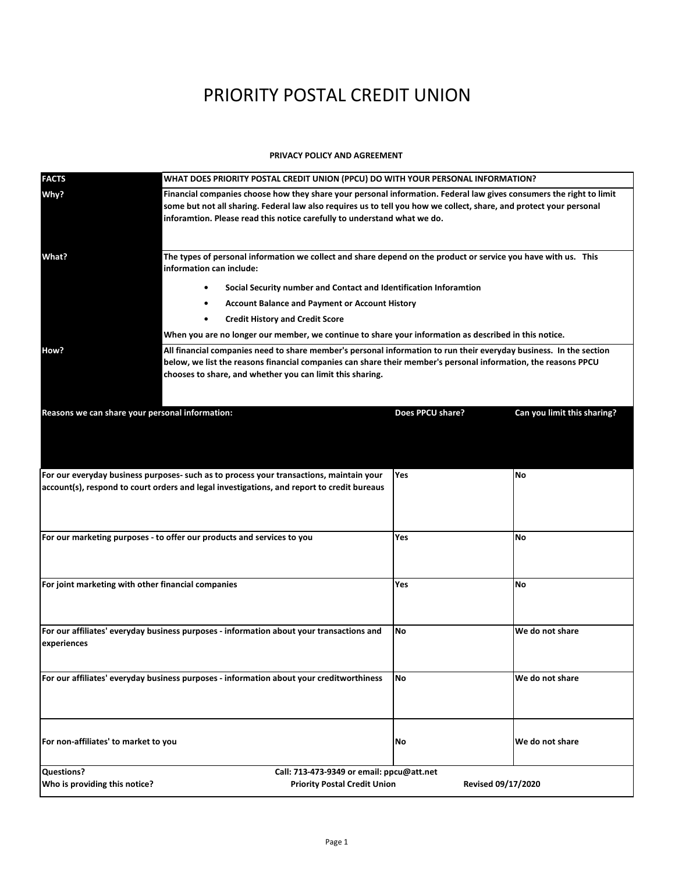# PRIORITY POSTAL CREDIT UNION

### **PRIVACY POLICY AND AGREEMENT**

| <b>FACTS</b>                                                                                                                                                                          | WHAT DOES PRIORITY POSTAL CREDIT UNION (PPCU) DO WITH YOUR PERSONAL INFORMATION?                                                                                                                                                                                                                                       |                  |                             |
|---------------------------------------------------------------------------------------------------------------------------------------------------------------------------------------|------------------------------------------------------------------------------------------------------------------------------------------------------------------------------------------------------------------------------------------------------------------------------------------------------------------------|------------------|-----------------------------|
| Why?                                                                                                                                                                                  | Financial companies choose how they share your personal information. Federal law gives consumers the right to limit<br>some but not all sharing. Federal law also requires us to tell you how we collect, share, and protect your personal<br>inforamtion. Please read this notice carefully to understand what we do. |                  |                             |
| What?                                                                                                                                                                                 | The types of personal information we collect and share depend on the product or service you have with us. This<br>information can include:<br>Social Security number and Contact and Identification Inforamtion<br>$\bullet$                                                                                           |                  |                             |
|                                                                                                                                                                                       | <b>Account Balance and Payment or Account History</b><br>$\bullet$<br><b>Credit History and Credit Score</b><br>$\bullet$                                                                                                                                                                                              |                  |                             |
|                                                                                                                                                                                       | When you are no longer our member, we continue to share your information as described in this notice.                                                                                                                                                                                                                  |                  |                             |
|                                                                                                                                                                                       | All financial companies need to share member's personal information to run their everyday business. In the section                                                                                                                                                                                                     |                  |                             |
| How?                                                                                                                                                                                  | below, we list the reasons financial companies can share their member's personal information, the reasons PPCU<br>chooses to share, and whether you can limit this sharing.                                                                                                                                            |                  |                             |
| Reasons we can share your personal information:                                                                                                                                       |                                                                                                                                                                                                                                                                                                                        | Does PPCU share? | Can you limit this sharing? |
|                                                                                                                                                                                       |                                                                                                                                                                                                                                                                                                                        |                  |                             |
| For our everyday business purposes- such as to process your transactions, maintain your<br>account(s), respond to court orders and legal investigations, and report to credit bureaus |                                                                                                                                                                                                                                                                                                                        | <b>Yes</b>       | <b>No</b>                   |
| For our marketing purposes - to offer our products and services to you                                                                                                                |                                                                                                                                                                                                                                                                                                                        | Yes              | No                          |
| For joint marketing with other financial companies                                                                                                                                    |                                                                                                                                                                                                                                                                                                                        | Yes              | No                          |
| For our affiliates' everyday business purposes - information about your transactions and<br>experiences                                                                               |                                                                                                                                                                                                                                                                                                                        | No               | We do not share             |
| For our affiliates' everyday business purposes - information about your creditworthiness                                                                                              |                                                                                                                                                                                                                                                                                                                        | <b>No</b>        | We do not share             |
| For non-affiliates' to market to you                                                                                                                                                  |                                                                                                                                                                                                                                                                                                                        | No               | We do not share             |
| <b>Questions?</b><br>Call: 713-473-9349 or email: ppcu@att.net                                                                                                                        |                                                                                                                                                                                                                                                                                                                        |                  |                             |
| Who is providing this notice?<br><b>Priority Postal Credit Union</b><br>Revised 09/17/2020                                                                                            |                                                                                                                                                                                                                                                                                                                        |                  |                             |